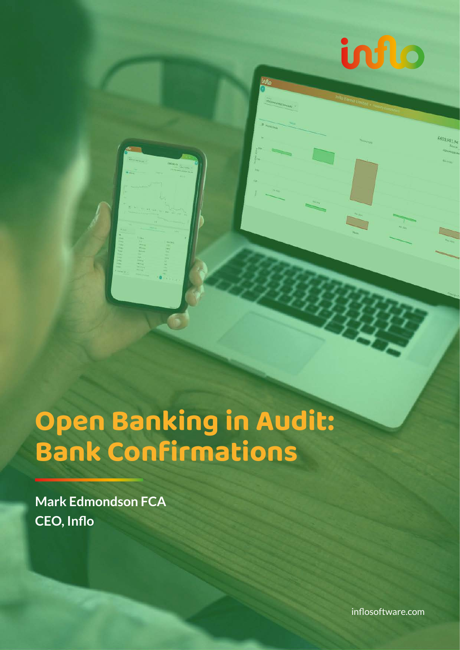

# **Open Banking in Audit: Bank Confirmations**

**Mark Edmondson FCA CEO, Inflo**

[inflosoftware.com](http://www.inflosoftware.com/)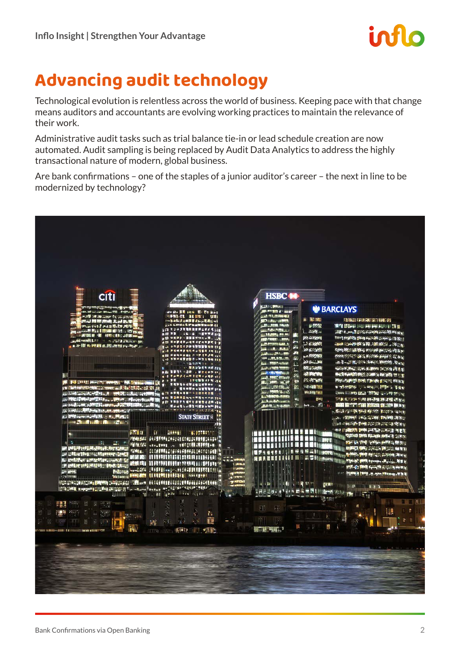

## **Advancing audit technology**

Technological evolution is relentless across the world of business. Keeping pace with that change means auditors and accountants are evolving working practices to maintain the relevance of their work.

Administrative audit tasks such as trial balance tie-in or lead schedule creation are now automated. Audit sampling is being replaced by Audit Data Analytics to address the highly transactional nature of modern, global business.

Are bank confirmations – one of the staples of a junior auditor's career – the next in line to be modernized by technology?

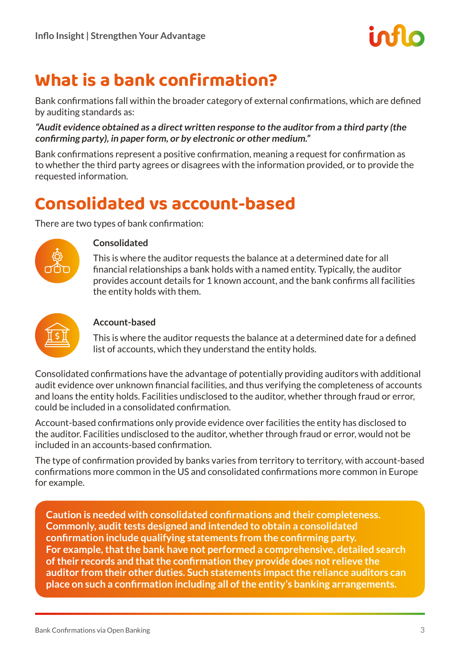

### **What is a bank confirmation?**

Bank confirmations fall within the broader category of external confirmations, which are defined by auditing standards as:

**"Audit evidence obtained as a direct written response to the auditor from a third party (the confirming party), in paper form, or by electronic or other medium."**

Bank confirmations represent a positive confirmation, meaning a request for confirmation as to whether the third party agrees or disagrees with the information provided, or to provide the requested information.

### **Consolidated vs account-based**

There are two types of bank confirmation:



#### **Consolidated**

This is where the auditor requests the balance at a determined date for all financial relationships a bank holds with a named entity. Typically, the auditor provides account details for 1 known account, and the bank confirms all facilities the entity holds with them.



#### **Account-based**

This is where the auditor requests the balance at a determined date for a defined list of accounts, which they understand the entity holds.

Consolidated confirmations have the advantage of potentially providing auditors with additional audit evidence over unknown financial facilities, and thus verifying the completeness of accounts and loans the entity holds. Facilities undisclosed to the auditor, whether through fraud or error, could be included in a consolidated confirmation.

Account-based confirmations only provide evidence over facilities the entity has disclosed to the auditor. Facilities undisclosed to the auditor, whether through fraud or error, would not be included in an accounts-based confirmation.

The type of confirmation provided by banks varies from territory to territory, with account-based confirmations more common in the US and consolidated confirmations more common in Europe for example.

**Caution is needed with consolidated confirmations and their completeness. Commonly, audit tests designed and intended to obtain a consolidated confirmation include qualifying statements from the confirming party. For example, that the bank have not performed a comprehensive, detailed search of their records and that the confirmation they provide does not relieve the auditor from their other duties. Such statements impact the reliance auditors can place on such a confirmation including all of the entity's banking arrangements.**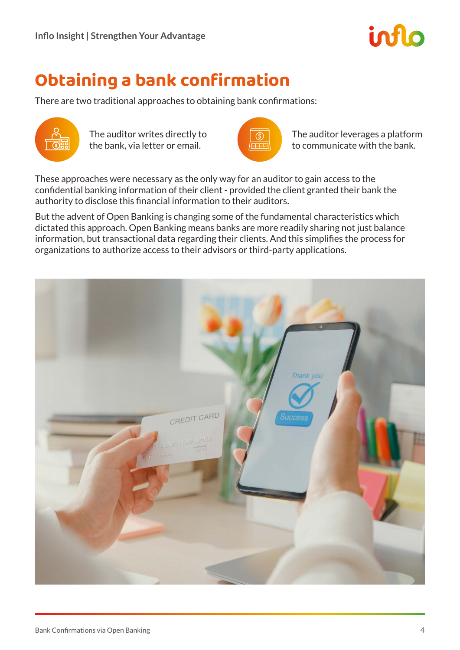

### **Obtaining a bank confirmation**

There are two traditional approaches to obtaining bank confirmations:



The auditor writes directly to the bank, via letter or email.



The auditor leverages a platform to communicate with the bank.

These approaches were necessary as the only way for an auditor to gain access to the confidential banking information of their client - provided the client granted their bank the authority to disclose this financial information to their auditors.

But the advent of Open Banking is changing some of the fundamental characteristics which dictated this approach. Open Banking means banks are more readily sharing not just balance information, but transactional data regarding their clients. And this simplifies the process for organizations to authorize access to their advisors or third-party applications.

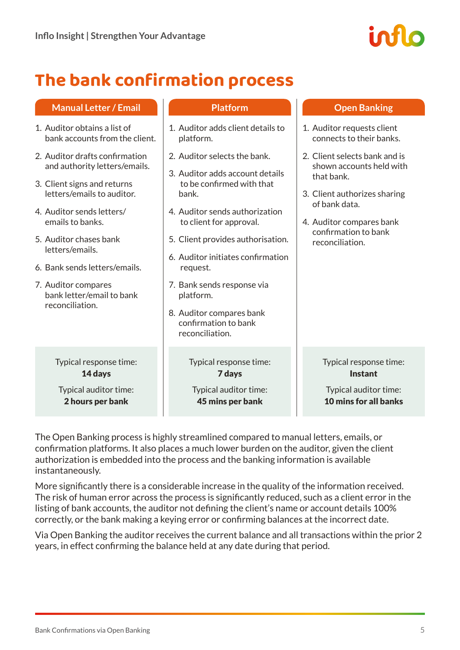

### **The bank confirmation process**

#### **Manual Letter / Email**

- 1. Auditor obtains a list of bank accounts from the client.
- 2. Auditor drafts confirmation and authority letters/emails.
- 3. Client signs and returns letters/emails to auditor.
- 4. Auditor sends letters/ emails to banks.
- 5. Auditor chases bank letters/emails.
- 6. Bank sends letters/emails.
- 7. Auditor compares bank letter/email to bank reconciliation.

Typical response time: 14 days

Typical auditor time: 2 hours per bank

#### **Platform**

- 1. Auditor adds client details to platform.
- 2. Auditor selects the bank.
- 3. Auditor adds account details to be confirmed with that bank.
- 4. Auditor sends authorization to client for approval.
- 5. Client provides authorisation.
- 6. Auditor initiates confirmation request.
- 7. Bank sends response via platform.
- 8. Auditor compares bank confirmation to bank reconciliation.

#### Typical response time: 7 days

Typical auditor time: 45 mins per bank

#### **Open Banking**

- 1. Auditor requests client connects to their banks.
- 2. Client selects bank and is shown accounts held with that bank.
- 3. Client authorizes sharing of bank data.
- 4. Auditor compares bank confirmation to bank reconciliation.

Typical response time: Instant

Typical auditor time: 10 mins for all banks

The Open Banking process is highly streamlined compared to manual letters, emails, or confirmation platforms. It also places a much lower burden on the auditor, given the client authorization is embedded into the process and the banking information is available instantaneously.

More significantly there is a considerable increase in the quality of the information received. The risk of human error across the process is significantly reduced, such as a client error in the listing of bank accounts, the auditor not defining the client's name or account details 100% correctly, or the bank making a keying error or confirming balances at the incorrect date.

Via Open Banking the auditor receives the current balance and all transactions within the prior 2 years, in effect confirming the balance held at any date during that period.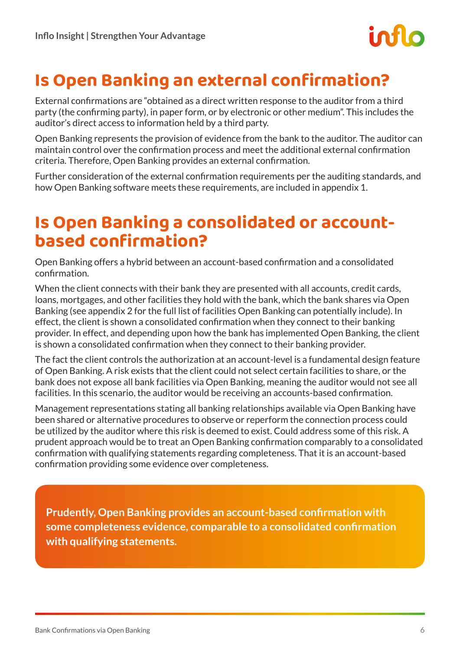### **Is Open Banking an external confirmation?**

External confirmations are "obtained as a direct written response to the auditor from a third party (the confirming party), in paper form, or by electronic or other medium". This includes the auditor's direct access to information held by a third party.

Open Banking represents the provision of evidence from the bank to the auditor. The auditor can maintain control over the confirmation process and meet the additional external confirmation criteria. Therefore, Open Banking provides an external confirmation.

Further consideration of the external confirmation requirements per the auditing standards, and how Open Banking software meets these requirements, are included in appendix 1.

### **Is Open Banking a consolidated or accountbased confirmation?**

Open Banking offers a hybrid between an account-based confirmation and a consolidated confirmation.

When the client connects with their bank they are presented with all accounts, credit cards, loans, mortgages, and other facilities they hold with the bank, which the bank shares via Open Banking (see appendix 2 for the full list of facilities Open Banking can potentially include). In effect, the client is shown a consolidated confirmation when they connect to their banking provider. In effect, and depending upon how the bank has implemented Open Banking, the client is shown a consolidated confirmation when they connect to their banking provider.

The fact the client controls the authorization at an account-level is a fundamental design feature of Open Banking. A risk exists that the client could not select certain facilities to share, or the bank does not expose all bank facilities via Open Banking, meaning the auditor would not see all facilities. In this scenario, the auditor would be receiving an accounts-based confirmation.

Management representations stating all banking relationships available via Open Banking have been shared or alternative procedures to observe or reperform the connection process could be utilized by the auditor where this risk is deemed to exist. Could address some of this risk. A prudent approach would be to treat an Open Banking confirmation comparably to a consolidated confirmation with qualifying statements regarding completeness. That it is an account-based confirmation providing some evidence over completeness.

**Prudently, Open Banking provides an account-based confirmation with some completeness evidence, comparable to a consolidated confirmation with qualifying statements.**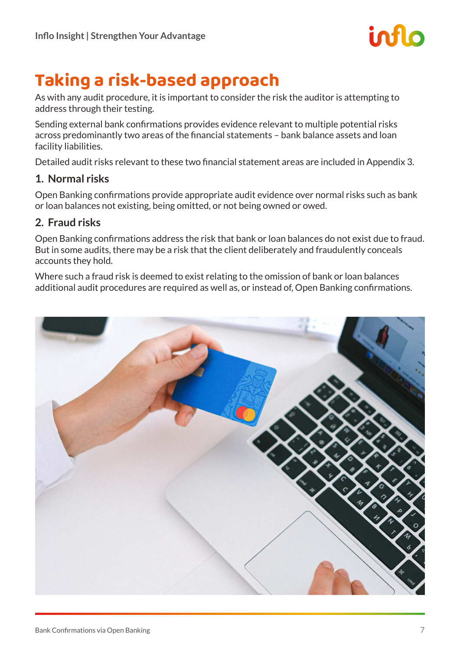

### **Taking a risk-based approach**

As with any audit procedure, it is important to consider the risk the auditor is attempting to address through their testing.

Sending external bank confirmations provides evidence relevant to multiple potential risks across predominantly two areas of the financial statements – bank balance assets and loan facility liabilities.

Detailed audit risks relevant to these two financial statement areas are included in Appendix 3.

#### **1. Normal risks**

Open Banking confirmations provide appropriate audit evidence over normal risks such as bank or loan balances not existing, being omitted, or not being owned or owed.

#### **2. Fraud risks**

Open Banking confirmations address the risk that bank or loan balances do not exist due to fraud. But in some audits, there may be a risk that the client deliberately and fraudulently conceals accounts they hold.

Where such a fraud risk is deemed to exist relating to the omission of bank or loan balances additional audit procedures are required as well as, or instead of, Open Banking confirmations.

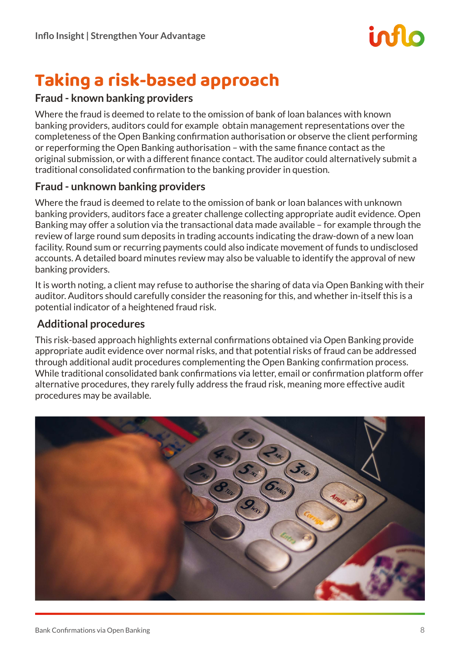

### **Taking a risk-based approach**

#### **Fraud - known banking providers**

Where the fraud is deemed to relate to the omission of bank of loan balances with known banking providers, auditors could for example obtain management representations over the completeness of the Open Banking confirmation authorisation or observe the client performing or reperforming the Open Banking authorisation – with the same finance contact as the original submission, or with a different finance contact. The auditor could alternatively submit a traditional consolidated confirmation to the banking provider in question.

#### **Fraud - unknown banking providers**

Where the fraud is deemed to relate to the omission of bank or loan balances with unknown banking providers, auditors face a greater challenge collecting appropriate audit evidence. Open Banking may offer a solution via the transactional data made available – for example through the review of large round sum deposits in trading accounts indicating the draw-down of a new loan facility. Round sum or recurring payments could also indicate movement of funds to undisclosed accounts. A detailed board minutes review may also be valuable to identify the approval of new banking providers.

It is worth noting, a client may refuse to authorise the sharing of data via Open Banking with their auditor. Auditors should carefully consider the reasoning for this, and whether in-itself this is a potential indicator of a heightened fraud risk.

#### **Additional procedures**

This risk-based approach highlights external confirmations obtained via Open Banking provide appropriate audit evidence over normal risks, and that potential risks of fraud can be addressed through additional audit procedures complementing the Open Banking confirmation process. While traditional consolidated bank confirmations via letter, email or confirmation platform offer alternative procedures, they rarely fully address the fraud risk, meaning more effective audit procedures may be available.

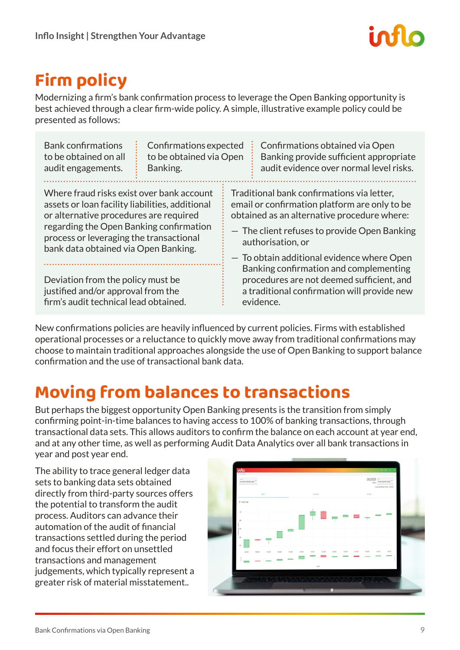### **Firm policy**

Modernizing a firm's bank confirmation process to leverage the Open Banking opportunity is best achieved through a clear firm-wide policy. A simple, illustrative example policy could be presented as follows:

| <b>Bank confirmations</b>                                                                                                                                                                                                                                                                                                                                                                | Confirmations expected  |  | Confirmations obtained via Open                                                                                                                                                                                                                                                                                                                                                                                  |  |  |
|------------------------------------------------------------------------------------------------------------------------------------------------------------------------------------------------------------------------------------------------------------------------------------------------------------------------------------------------------------------------------------------|-------------------------|--|------------------------------------------------------------------------------------------------------------------------------------------------------------------------------------------------------------------------------------------------------------------------------------------------------------------------------------------------------------------------------------------------------------------|--|--|
| to be obtained on all                                                                                                                                                                                                                                                                                                                                                                    | to be obtained via Open |  | Banking provide sufficient appropriate                                                                                                                                                                                                                                                                                                                                                                           |  |  |
| audit engagements.                                                                                                                                                                                                                                                                                                                                                                       | Banking.                |  | audit evidence over normal level risks.                                                                                                                                                                                                                                                                                                                                                                          |  |  |
| Where fraud risks exist over bank account<br>assets or loan facility liabilities, additional<br>or alternative procedures are required<br>regarding the Open Banking confirmation<br>process or leveraging the transactional<br>bank data obtained via Open Banking.<br>Deviation from the policy must be<br>justified and/or approval from the<br>firm's audit technical lead obtained. |                         |  | Traditional bank confirmations via letter,<br>email or confirmation platform are only to be<br>obtained as an alternative procedure where:<br>- The client refuses to provide Open Banking<br>authorisation, or<br>- To obtain additional evidence where Open<br>Banking confirmation and complementing<br>procedures are not deemed sufficient, and<br>a traditional confirmation will provide new<br>evidence. |  |  |

New confirmations policies are heavily influenced by current policies. Firms with established operational processes or a reluctance to quickly move away from traditional confirmations may choose to maintain traditional approaches alongside the use of Open Banking to support balance confirmation and the use of transactional bank data.

### **Moving from balances to transactions**

But perhaps the biggest opportunity Open Banking presents is the transition from simply confirming point-in-time balances to having access to 100% of banking transactions, through transactional data sets. This allows auditors to confirm the balance on each account at year end, and at any other time, as well as performing Audit Data Analytics over all bank transactions in year and post year end.

The ability to trace general ledger data sets to banking data sets obtained directly from third-party sources offers the potential to transform the audit process. Auditors can advance their automation of the audit of financial transactions settled during the period and focus their effort on unsettled transactions and management judgements, which typically represent a greater risk of material misstatement..

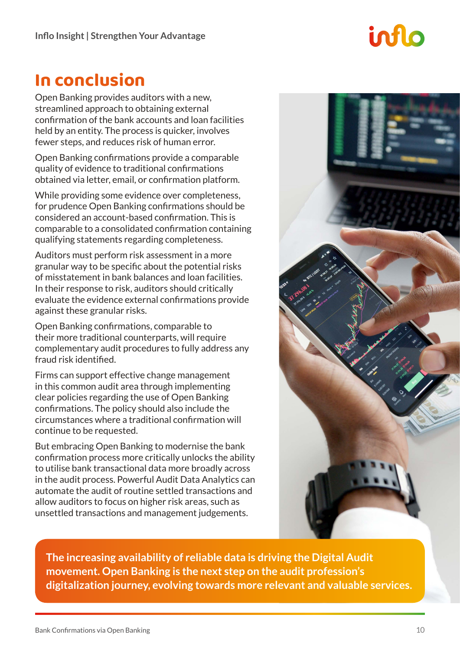### **In conclusion**

Open Banking provides auditors with a new, streamlined approach to obtaining external confirmation of the bank accounts and loan facilities held by an entity. The process is quicker, involves fewer steps, and reduces risk of human error.

Open Banking confirmations provide a comparable quality of evidence to traditional confirmations obtained via letter, email, or confirmation platform.

While providing some evidence over completeness, for prudence Open Banking confirmations should be considered an account-based confirmation. This is comparable to a consolidated confirmation containing qualifying statements regarding completeness.

Auditors must perform risk assessment in a more granular way to be specific about the potential risks of misstatement in bank balances and loan facilities. In their response to risk, auditors should critically evaluate the evidence external confirmations provide against these granular risks.

Open Banking confirmations, comparable to their more traditional counterparts, will require complementary audit procedures to fully address any fraud risk identified.

Firms can support effective change management in this common audit area through implementing clear policies regarding the use of Open Banking confirmations. The policy should also include the circumstances where a traditional confirmation will continue to be requested.

But embracing Open Banking to modernise the bank confirmation process more critically unlocks the ability to utilise bank transactional data more broadly across in the audit process. Powerful Audit Data Analytics can automate the audit of routine settled transactions and allow auditors to focus on higher risk areas, such as unsettled transactions and management judgements.



**The increasing availability of reliable data is driving the Digital Audit movement. Open Banking is the next step on the audit profession's digitalization journey, evolving towards more relevant and valuable services.**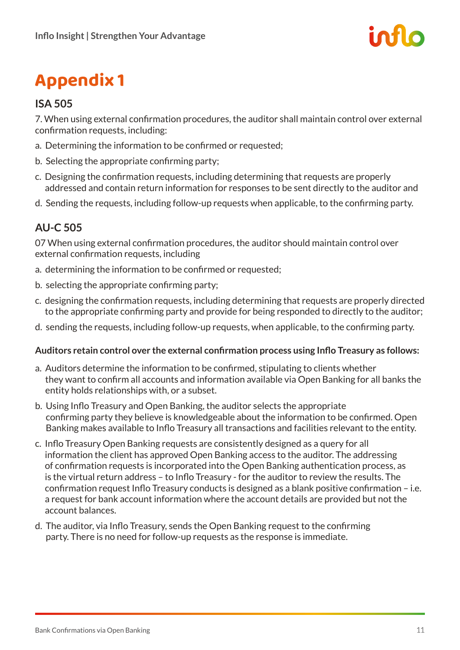

## **Appendix 1**

### **ISA 505**

7. When using external confirmation procedures, the auditor shall maintain control over external confirmation requests, including:

- a. Determining the information to be confirmed or requested;
- b. Selecting the appropriate confirming party;
- c. Designing the confirmation requests, including determining that requests are properly addressed and contain return information for responses to be sent directly to the auditor and
- d. Sending the requests, including follow-up requests when applicable, to the confirming party.

### **AU-C 505**

07 When using external confirmation procedures, the auditor should maintain control over external confirmation requests, including

- a. determining the information to be confirmed or requested;
- b. selecting the appropriate confirming party;
- c. designing the confirmation requests, including determining that requests are properly directed to the appropriate confirming party and provide for being responded to directly to the auditor;
- d. sending the requests, including follow-up requests, when applicable, to the confirming party.

#### **Auditors retain control over the external confirmation process using Inflo Treasury as follows:**

- a. Auditors determine the information to be confirmed, stipulating to clients whether they want to confirm all accounts and information available via Open Banking for all banks the entity holds relationships with, or a subset.
- b. Using Inflo Treasury and Open Banking, the auditor selects the appropriate confirming party they believe is knowledgeable about the information to be confirmed. Open Banking makes available to Inflo Treasury all transactions and facilities relevant to the entity.
- c. Inflo Treasury Open Banking requests are consistently designed as a query for all information the client has approved Open Banking access to the auditor. The addressing of confirmation requests is incorporated into the Open Banking authentication process, as is the virtual return address – to Inflo Treasury - for the auditor to review the results. The confirmation request Inflo Treasury conducts is designed as a blank positive confirmation – i.e. a request for bank account information where the account details are provided but not the account balances.
- d. The auditor, via Inflo Treasury, sends the Open Banking request to the confirming party. There is no need for follow-up requests as the response is immediate.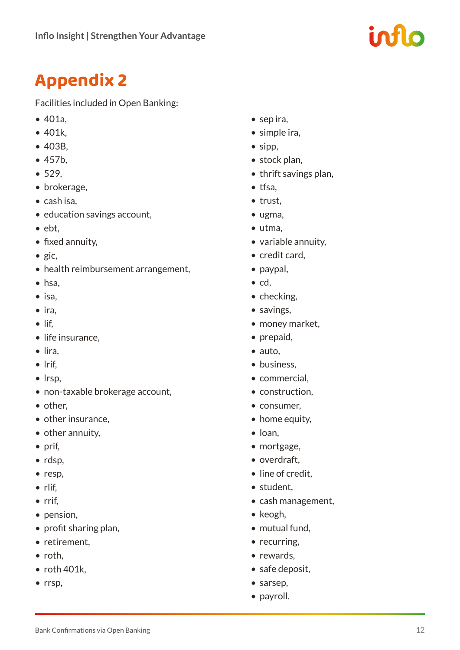### **Appendix 2**

Facilities included in Open Banking:

- 401a,
- 401k,
- 403B,
- 457b,
- 529,
- brokerage,
- cash isa,
- education savings account,
- ebt,
- fixed annuity,
- gic,
- health reimbursement arrangement,
- hsa,
- isa,
- ira,
- lif,
- life insurance.
- lira,
- lrif,
- lrsp,
- non-taxable brokerage account,
- other,
- other insurance,
- other annuity,
- prif,
- rdsp,
- resp,
- rlif,
- rrif,
- pension,
- profit sharing plan,
- retirement,
- roth,
- roth 401k,
- rrsp,
- sep ira,
- simple ira,
- sipp,
- stock plan,
- thrift savings plan,
- tfsa,
- trust,
- ugma,
- utma,
- variable annuity,
- credit card,
- paypal,
- cd,
- checking,
- savings,
- money market,
- prepaid,
- auto,
- business.
- commercial,
- construction,
- consumer,
- home equity,
- loan,
- mortgage,
- overdraft,
- line of credit.
- student,
- cash management,
- keogh,
- mutual fund,
- recurring.
- rewards,
- safe deposit,
- sarsep,
- payroll.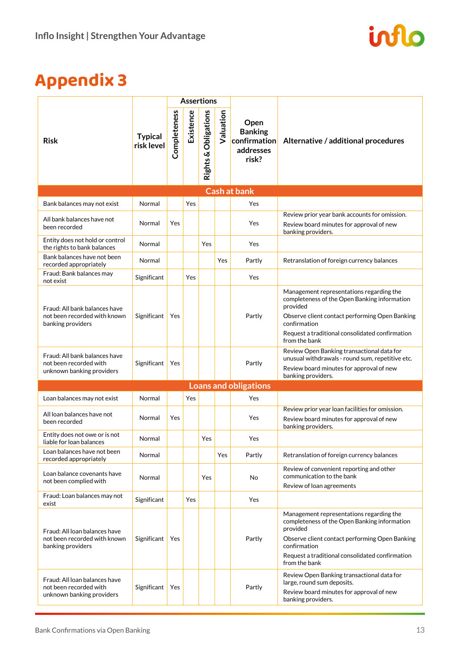

### **Appendix 3**

|                                                                                      |                              | <b>Assertions</b> |           |                      |           |                                                              |                                                                                                                                                                                                                                            |  |  |  |
|--------------------------------------------------------------------------------------|------------------------------|-------------------|-----------|----------------------|-----------|--------------------------------------------------------------|--------------------------------------------------------------------------------------------------------------------------------------------------------------------------------------------------------------------------------------------|--|--|--|
| <b>Risk</b>                                                                          | <b>Typical</b><br>risk level | Completeness      | Existence | Rights & Obligations | Valuation | Open<br><b>Banking</b><br>confirmation<br>addresses<br>risk? | Alternative / additional procedures                                                                                                                                                                                                        |  |  |  |
| <b>Cash at bank</b>                                                                  |                              |                   |           |                      |           |                                                              |                                                                                                                                                                                                                                            |  |  |  |
| Bank balances may not exist                                                          | Normal                       |                   | Yes       |                      |           | Yes                                                          |                                                                                                                                                                                                                                            |  |  |  |
| All bank balances have not<br>been recorded                                          | Normal                       | Yes               |           |                      |           | Yes                                                          | Review prior year bank accounts for omission.<br>Review board minutes for approval of new<br>banking providers.                                                                                                                            |  |  |  |
| Entity does not hold or control<br>the rights to bank balances                       | Normal                       |                   |           | Yes                  |           | Yes                                                          |                                                                                                                                                                                                                                            |  |  |  |
| Bank balances have not been<br>recorded appropriately                                | Normal                       |                   |           |                      | Yes       | Partly                                                       | Retranslation of foreign currency balances                                                                                                                                                                                                 |  |  |  |
| Fraud: Bank balances may<br>not exist                                                | Significant                  |                   | Yes       |                      |           | Yes                                                          |                                                                                                                                                                                                                                            |  |  |  |
| Fraud: All bank balances have<br>not been recorded with known<br>banking providers   | Significant                  | Yes               |           |                      |           | Partly                                                       | Management representations regarding the<br>completeness of the Open Banking information<br>provided<br>Observe client contact performing Open Banking<br>confirmation<br>Request a traditional consolidated confirmation<br>from the bank |  |  |  |
| Fraud: All bank balances have<br>not been recorded with<br>unknown banking providers | Significant                  | Yes               |           |                      |           | Partly                                                       | Review Open Banking transactional data for<br>unusual withdrawals - round sum, repetitive etc.<br>Review board minutes for approval of new<br>banking providers.                                                                           |  |  |  |
| <b>Loans and obligations</b>                                                         |                              |                   |           |                      |           |                                                              |                                                                                                                                                                                                                                            |  |  |  |
| Loan balances may not exist                                                          | Normal                       |                   | Yes       |                      |           | Yes                                                          |                                                                                                                                                                                                                                            |  |  |  |
| All loan balances have not<br>been recorded                                          | Normal                       | Yes               |           |                      |           | Yes                                                          | Review prior year loan facilities for omission.<br>Review board minutes for approval of new<br>banking providers.                                                                                                                          |  |  |  |
| Entity does not owe or is not<br>liable for loan balances                            | Normal                       |                   |           | Yes                  |           | Yes                                                          |                                                                                                                                                                                                                                            |  |  |  |
| Loan balances have not been<br>recorded appropriately                                | Normal                       |                   |           |                      | Yes       | Partly                                                       | Retranslation of foreign currency balances                                                                                                                                                                                                 |  |  |  |
| Loan balance covenants have<br>not been complied with                                | Normal                       |                   |           | Yes                  |           | No                                                           | Review of convenient reporting and other<br>communication to the bank<br>Review of loan agreements                                                                                                                                         |  |  |  |
| Fraud: Loan balances may not<br>exist                                                | Significant                  |                   | Yes       |                      |           | Yes                                                          |                                                                                                                                                                                                                                            |  |  |  |
| Fraud: All loan balances have<br>not been recorded with known<br>banking providers   | Significant                  | Yes               |           |                      |           | Partly                                                       | Management representations regarding the<br>completeness of the Open Banking information<br>provided<br>Observe client contact performing Open Banking<br>confirmation<br>Request a traditional consolidated confirmation<br>from the bank |  |  |  |
| Fraud: All loan balances have<br>not been recorded with<br>unknown banking providers | Significant                  | Yes               |           |                      |           | Partly                                                       | Review Open Banking transactional data for<br>large, round sum deposits.<br>Review board minutes for approval of new<br>banking providers.                                                                                                 |  |  |  |